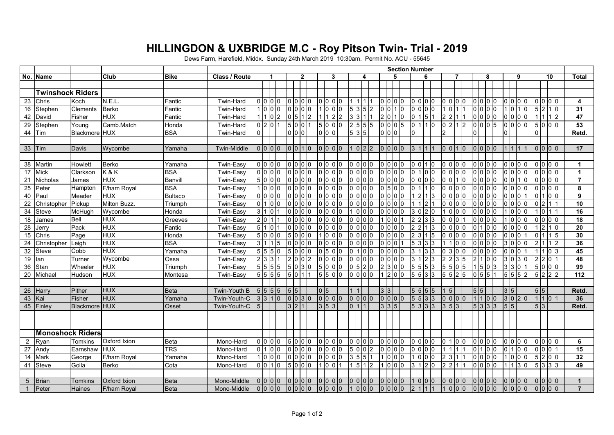## **HILLINGDON & UXBRIDGE M.C - Roy Pitson Twin- Trial - 2019**

Dews Farm, Harefield, Middx. Sunday 24th March 2019 10:30am. Permit No. ACU - 55645

|                 |                         |                 |                     |             |                      | <b>Section Number</b>       |                            |  |                |                |  |                  |            |                 |                 |                  |                |                    |                  |     |                    |   |                   |                |                  |                |                 |                |                |                 |                            |                                                             |                 |                      |
|-----------------|-------------------------|-----------------|---------------------|-------------|----------------------|-----------------------------|----------------------------|--|----------------|----------------|--|------------------|------------|-----------------|-----------------|------------------|----------------|--------------------|------------------|-----|--------------------|---|-------------------|----------------|------------------|----------------|-----------------|----------------|----------------|-----------------|----------------------------|-------------------------------------------------------------|-----------------|----------------------|
|                 | No. Name                |                 | <b>Club</b>         | <b>Bike</b> | <b>Class / Route</b> | $\mathbf{2}$<br>3<br>6<br>ឧ |                            |  |                |                |  |                  |            |                 | 9               |                  | 10             |                    | <b>Total</b>     |     |                    |   |                   |                |                  |                |                 |                |                |                 |                            |                                                             |                 |                      |
|                 |                         |                 |                     |             |                      |                             |                            |  |                |                |  |                  |            |                 |                 |                  |                |                    |                  |     |                    |   |                   |                |                  |                |                 |                |                |                 |                            |                                                             |                 |                      |
|                 | <b>Twinshock Riders</b> |                 |                     |             |                      |                             |                            |  |                |                |  |                  |            |                 |                 |                  |                |                    |                  |     |                    |   |                   |                |                  |                |                 |                |                |                 |                            |                                                             |                 |                      |
| 23              | Chris                   | Koch            | N.E.L               | Fantic      | Twin-Hard            |                             | 0000                       |  | 0 0 0          |                |  | 0 0 0            |            |                 |                 |                  |                | 0 0 0              |                  |     | 0 0 0              |   |                   | 000            |                  | 0 <sub>0</sub> |                 |                |                | 000             |                            | 000                                                         |                 | 4                    |
| 16              | Stephen                 | <b>Clements</b> | Berko               | Fantic      | Twin-Hard            |                             | 1000                       |  | 0 0 0 0        |                |  | 1000             |            | 5 3 5 2         |                 | $\overline{0}$ 0 |                | 1 I O              |                  |     | o lo lo lo         |   | $\overline{0}$    |                | 0 0 0 0          |                |                 |                | lo.            | 1 <sub>0</sub>  |                            | 5210                                                        |                 | 31                   |
| 42              | David                   | Fisher          | <b>HUX</b>          | Fantic      | <b>Twin-Hard</b>     |                             | 1102                       |  | $0\vert 5$     | 112            |  | 1 1              | $\sqrt{2}$ | $3\overline{3}$ | 1               | 2 0              |                | 10                 | 0 <sup>11</sup>  |     | 5                  |   | 2 2               |                | 0 <sup>10</sup>  |                | 0 <sub>0</sub>  |                |                | 0 0 0 0         | ا ا                        | $1\overline{2}$                                             |                 | 47                   |
| 29              | Stephen                 | Young           | Camb.Match          | Honda       | <b>Twin-Hard</b>     |                             | 0201                       |  | 500            |                |  | 5000             |            | 2   5   5   5   |                 |                  |                | 0 0 05             |                  |     | 01110              |   | 0212              |                | 0005             |                |                 |                |                | 00000           |                            | 500                                                         |                 | 53                   |
| 44              | Tim                     | Blackmore HUX   |                     | <b>BSA</b>  | Twin-Hard            | $\overline{0}$              |                            |  | 0 0 0          |                |  |                  |            | 5 3 5           |                 |                  | 0 0 0          |                    |                  |     |                    |   |                   |                |                  |                |                 |                |                |                 |                            |                                                             |                 | Retd.                |
|                 |                         |                 |                     |             |                      |                             |                            |  |                |                |  |                  |            |                 |                 |                  |                |                    |                  |     |                    |   |                   |                |                  |                |                 |                |                |                 |                            |                                                             |                 |                      |
| 33              | Tim                     | Davis           | Wycombe             | Yamaha      | <b>Twin-Middle</b>   |                             | 0 0 0 0                    |  | $0 10 11 10$   |                |  | 0000             |            | 1 0 2 2         |                 |                  |                | 0 0 0 0            | 3 1              |     |                    |   | 0 0 1 0           |                | 0 0 0 0          |                |                 |                | l 1            |                 |                            | 0 0 0 0                                                     |                 | 17                   |
|                 |                         |                 |                     |             |                      |                             |                            |  |                |                |  |                  |            |                 |                 |                  |                |                    |                  |     |                    |   |                   |                |                  |                |                 |                |                |                 |                            |                                                             |                 |                      |
| 38              | Martin                  | Howlett         | Berko               | Yamaha      | Twin-Easy            |                             | 0000                       |  | 0 0 0          |                |  | 0 0 0            |            | 0 0 0 0         |                 |                  |                | 0 0 0              |                  |     | 0 0 1 0            |   | o lo lo lo        |                | o lo lo lo       |                |                 |                |                | 0 0 0 0         |                            | 0 0 0 0                                                     |                 | $\mathbf{1}$         |
| 17              | Mick                    | Clarkson        | K&K                 | <b>BSA</b>  | Twin-Easy            |                             | 0 0 0                      |  | 0 0 0 0        |                |  | 0 0 0 0          |            | 0 0 0           |                 |                  |                | 0 0 0 0            |                  |     | 0 0                |   |                   | 000            | 0                |                | 0 0             |                | 0              | 0 <sup>0</sup>  |                            |                                                             |                 | $\blacktriangleleft$ |
| 21              | Nicholas                | James           | <b>HUX</b>          | Banvill     | Twin-Easy            |                             | 5000                       |  | 0 0 0          |                |  | 0 0 0 0          |            | 0 0 0 0         |                 |                  |                | 0 0 0 0            |                  | 0 0 | 0 0                |   | $\overline{0}$    | 110            |                  | 000            |                 | 0 0            |                | 110             |                            | 0 0 0                                                       |                 | $\overline{7}$       |
| 25              | Peter                   | Hampton         | F/ham Royal         | <b>BSA</b>  | Twin-Easy            |                             | 1000                       |  | 0 0 0          |                |  | 0 0 0            |            | 0 0 0 0         |                 |                  |                | 0 5 0 0            |                  |     | l1 l0              |   | o lo lo lo        |                | 0 0 0 0          |                |                 |                |                | 0 0 0 0         |                            | 0 0 0 0                                                     |                 | 8                    |
| 40              | Paul                    | Meader          | <b>HUX</b>          | Bultaco     | Twin-Easy            |                             | 0 0 0 0                    |  | 0 0 0 0        |                |  | 0 0 0            |            | 0 0 0 0         |                 |                  |                | 0 0 0 0            | $1\overline{2}$  |     | 1 <sup>3</sup>     |   | 0 0 0 0           |                | o lo lo lo       |                |                 |                |                | 0 0 0 1         |                            | 100                                                         |                 | 9                    |
| 22              | Christopher             | Pickup          | Milton Buzz.        | Triumph     | Twin-Easy            |                             | 0100                       |  | 0 0 0 0        |                |  | 0 0 0            |            | 0 0 0           |                 |                  |                | 0 0 0              |                  |     | $\overline{2}$     |   | 0 0 0             |                | 0 0 0 0          |                |                 |                |                | 0 0 0 0         |                            | 12 1 1                                                      |                 | 10                   |
| 34              | Steve                   | McHugh          | Wycombe             | Honda       | Twin-Easy            | 3 1                         | $\overline{0}$             |  | 0 <sup>0</sup> | 0 <sub>0</sub> |  | 0 0 0            |            | 1 0 0 0         |                 |                  |                | 0 0 0              |                  | 0   | 2 0                |   | $\overline{0}$    | 0 0            | 0                |                | 0 <sup>0</sup>  |                | $\overline{0}$ | 0 <sub>0</sub>  | 0                          |                                                             |                 | 16                   |
| 18              | James                   | Bell            | <b>HUX</b>          | Greeves     | Twin-Easy            |                             | $201$                      |  | 0 0 0 0        |                |  | 0 0 0            |            | 0 0 0           |                 | 1 <sup>0</sup>   |                | $\cdot$ 10 $\cdot$ | 2 2              |     | $\overline{3}$ 3   |   | 0 0 0             |                | o lo lo lo       |                |                 |                |                | 0 0 0           |                            | $\overline{0}$ $\overline{0}$ $\overline{0}$ $\overline{0}$ |                 | 18                   |
| 28              | Jerry                   | Pack            | <b>HUX</b>          | Fantic      | Twin-Easy            |                             | $5   1   0$                |  | 0000           |                |  | 0 0 0 0          |            | 0 0 0 0         |                 |                  |                | 0 0 0              | $\overline{2}$ 2 |     | $1\vert 3$         |   | 0 0 0             |                |                  |                | 0 <sup>10</sup> |                |                | 0 0 0 0         | $\overline{2}$             | 110                                                         |                 | 20                   |
| 15              | Chris                   | Page            | <b>HUX</b>          | Honda       | Twin-Easy            |                             | 5000                       |  | 5000           |                |  | 1000             |            | $0$ $0$ $0$ $0$ |                 |                  |                | 0 0 0              |                  |     | 2 3 1 5            |   | lo lo lo lo       |                | lo lo lo lo      |                |                 |                |                | 00011           |                            |                                                             |                 | 30                   |
| 24              | Christopher             | Leigh           | <b>HUX</b>          | <b>BSA</b>  | Twin-Easy            | 3 1                         | 11 <sub>15</sub>           |  | 0 0 0 0        |                |  | 0 0 0 0          |            | 0 0 0 0         |                 | 0 <sup>10</sup>  |                | lo l               | $5\vert 3$       |     | 3 3                |   |                   | 0 <sub>0</sub> | l0               |                | 0 <sub>0</sub>  |                |                | 30000           |                            |                                                             | $1\overline{2}$ | 36                   |
| 32              | Steve                   | Cobb            | <b>HUX</b>          | Yamaha      | Twin-Easy            |                             | 5550                       |  | 5 0 0 0        |                |  | 0 5 0 0          |            | 0 <sup>11</sup> | $\overline{0}$  |                  |                | 0 0 0              | 3                |     | 3 3                |   | 3                 | 0 <sup>0</sup> | $\overline{0}$ 0 |                | 0 0             |                |                | 0 0 0 1         | l 1                        | 0 3                                                         |                 | 45                   |
| 19              | lan                     | Turner          | Wycombe             | Ossa        | Twin-Easy            |                             | 2 3 3                      |  | 2 0 0 2        |                |  | 0 0 0 0          |            | 0 0 0 0         |                 |                  |                | 0 0 0 0            | 3                |     | $\overline{2}$   3 |   | $\overline{2}$    | 3 5            |                  |                | l0 l0           | 3 0            |                | 3 <sub>0</sub>  | $\mathfrak{p}$<br><b>2</b> | IO 11                                                       |                 | 48                   |
| 36              | Stan                    | Wheeler         | <b>HUX</b>          | Triumph     | Twin-Easy            |                             | 5555                       |  | 5 0 3 0        |                |  | 5000             |            | 0 5 2 0         |                 |                  |                | 2 3 0 0            | 5 5              |     | 5 <sub>3</sub>     |   | 5 5               | 0              | 5                |                | 0 <sup>13</sup> | 3 <sup>3</sup> |                |                 |                            | 5000                                                        |                 | 99                   |
| 20              | Michael                 | Hudson          | <b>HUX</b>          | Montesa     | Twin-Easy            |                             | 5555                       |  | 5 0 1 1        |                |  | 5500             |            | 0 0 0 0         |                 |                  |                | 1 2 0 0            |                  |     | 5 5 3 3            |   | $5 \ 5 \ 2 \ 5$   |                | 0 5 5 1          |                |                 |                |                | 5552            |                            | 5 2 2 2                                                     |                 | 112                  |
|                 |                         |                 |                     |             |                      |                             |                            |  |                |                |  |                  |            |                 |                 |                  |                |                    |                  |     |                    |   |                   |                |                  |                |                 |                |                |                 |                            |                                                             |                 |                      |
| 26              | Harry                   | Pither          | <b>HUX</b>          | Beta        | Twin-Youth B         |                             | 5 5 5 5                    |  | 5 5            |                |  | 0 5              |            |                 |                 |                  | $\overline{3}$ |                    |                  |     | 5 5 5 5            |   | $\overline{5}$    |                | 5 5              |                |                 | 3 5            |                |                 | $\vert 5 \vert 5$          |                                                             |                 | Retd.                |
| 43              | Kai                     | Fisher          | <b>HUX</b>          | Yamaha      | Twin-Youth-C         |                             | 3310                       |  | 0030           |                |  | 0 0 0            |            | 0 0 0           |                 |                  |                | 0 0 0              |                  |     | 5 5 3 3            |   | 0 0 0             |                | 1100             |                |                 |                |                | 3020            |                            | 1110                                                        |                 | 36                   |
|                 | 45 Finley               | Blackmore HUX   |                     | Osset       | Twin-Youth-C         | 5                           |                            |  | 3 2 1          |                |  | $3\overline{5}3$ |            | 0 1 1           |                 |                  | 3 3 5          |                    |                  |     | 5 3 3 3            |   | $3 \mid 5 \mid 3$ |                | 5 3 3 3          |                |                 | 5 5            |                |                 | $\overline{5}$ 3           |                                                             |                 | Retd.                |
|                 |                         |                 |                     |             |                      |                             |                            |  |                |                |  |                  |            |                 |                 |                  |                |                    |                  |     |                    |   |                   |                |                  |                |                 |                |                |                 |                            |                                                             |                 |                      |
|                 |                         |                 |                     |             |                      |                             |                            |  |                |                |  |                  |            |                 |                 |                  |                |                    |                  |     |                    |   |                   |                |                  |                |                 |                |                |                 |                            |                                                             |                 |                      |
|                 | <b>Monoshock Riders</b> |                 |                     |             |                      |                             |                            |  |                |                |  |                  |            |                 |                 |                  |                |                    |                  |     |                    |   |                   |                |                  |                |                 |                |                |                 |                            |                                                             |                 |                      |
| $\overline{2}$  | Ryan                    | Tomkins         | Oxford Ixion        | <b>Beta</b> | Mono-Hard            |                             | 0 0 0 0                    |  | 5 0 0 0        |                |  | 0 0 0            |            | 0 0 0 0         |                 |                  |                | 0 0 0 0            |                  |     | 0 0 0              |   | 0 1 0 0           |                | o lo lo lo       |                |                 |                |                | 0 0 0 0         |                            | 0 0 0 0                                                     |                 | 6                    |
| 27              | Andy                    | Earnshaw        | <b>HUX</b>          | <b>TRS</b>  | Mono-Hard            |                             | 0100                       |  | 0000           |                |  | 0 0 0            |            | 5 0 0 2         |                 |                  |                | 0 0 0              |                  |     | 0 0 0              |   |                   |                | 0 <sup>11</sup>  |                | 0 <sub>0</sub>  |                |                | 01100           |                            | 0 0 0 1                                                     |                 | 15                   |
| 14              | Mark                    | George          | F/ham Royal         | Yamaha      | Mono-Hard            |                             | 1000                       |  | 0 0 0 0        |                |  | 0 0 0            |            | $3\overline{5}$ | $5\overline{)}$ |                  |                | 1 0 0 0            |                  | 0   | 0 <sup>0</sup>     | 2 | 3                 |                | 0 <sup>0</sup>   |                | 0 <sup>0</sup>  |                | 0              | 0 <sup>10</sup> | $\overline{2}$             | 0 0                                                         |                 | 32                   |
| 41              | Steve                   | Golla           | Berko               | Cota        | Mono-Hard            |                             | $\overline{0}$   0   1   0 |  | 5000           |                |  | 1 0 0            |            | 1 5 1 2         |                 |                  |                | 1 0 0 0            |                  |     | 3 1 2 0            |   | 2 2               |                | 0 0 0 0          |                |                 |                |                | 3 <sub>0</sub>  |                            | 5 3 3 3                                                     |                 | 49                   |
|                 |                         |                 |                     |             |                      |                             |                            |  |                |                |  |                  |            |                 |                 |                  |                |                    |                  |     |                    |   |                   |                |                  |                |                 |                |                |                 |                            |                                                             |                 |                      |
| $5\overline{)}$ | <b>Brian</b>            | <b>Tomkins</b>  | <b>Oxford Ixion</b> | Beta        | Mono-Middle          |                             | 0 0 0 0                    |  | 00000          |                |  | 0 0 0 0          |            | 0 0 0 0         |                 |                  |                | 0 0 0 0            |                  |     | 1 0 0 0            |   | 0 0 0 0           |                | lo lo lo lo      |                |                 |                |                | 0 0 0 0         |                            | 00000                                                       |                 | $\mathbf{1}$         |
|                 | Peter                   | <b>Haines</b>   | F/ham Royal         | <b>Beta</b> | Mono-Middle          |                             | 0 0 0 0                    |  | 0 0 0 0        |                |  | 0 0 0 0          |            |                 | 0 0 0           |                  |                | 0 0 0 0            | $\mathcal{P}$    |     |                    |   | 1 0 0 0           |                | 0 0 0 0          |                |                 |                |                | 0 0 0 0         |                            | 0000                                                        |                 | $\overline{7}$       |